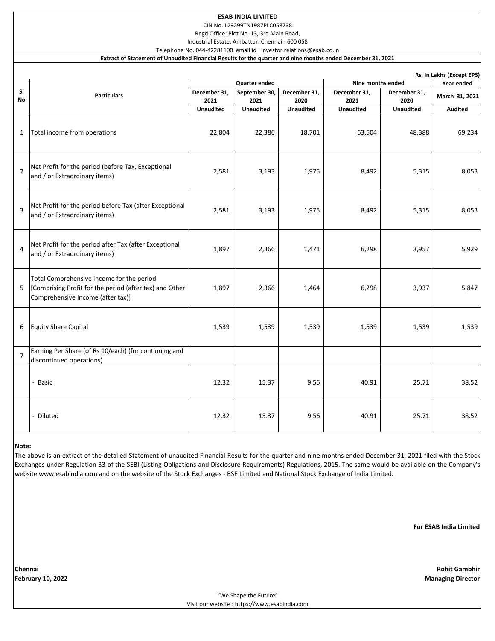### **ESAB INDIA LIMITED**

CIN No. L29299TN1987PLC058738

Regd Office: Plot No. 13, 3rd Main Road,

Industrial Estate, Ambattur, Chennai - 600 058 Telephone No. 044-42281100 email id : investor.relations@esab.co.in

## **Extract of Statement of Unaudited Financial Results for the quarter and nine months ended December 31, 2021**

|                | Rs. in Lakhs (Except EPS)                                                                                                                 |                      |                       |                      |                      |                      |                |  |  |  |  |  |
|----------------|-------------------------------------------------------------------------------------------------------------------------------------------|----------------------|-----------------------|----------------------|----------------------|----------------------|----------------|--|--|--|--|--|
|                |                                                                                                                                           | <b>Quarter ended</b> |                       |                      | Nine months ended    |                      | Year ended     |  |  |  |  |  |
| SI<br>No       | <b>Particulars</b>                                                                                                                        | December 31,<br>2021 | September 30,<br>2021 | December 31,<br>2020 | December 31,<br>2021 | December 31,<br>2020 | March 31, 2021 |  |  |  |  |  |
|                |                                                                                                                                           | <b>Unaudited</b>     | <b>Unaudited</b>      | <b>Unaudited</b>     | <b>Unaudited</b>     | <b>Unaudited</b>     | <b>Audited</b> |  |  |  |  |  |
| $\mathbf{1}$   | Total income from operations                                                                                                              | 22,804               | 22,386                | 18,701               | 63,504               | 48,388               | 69,234         |  |  |  |  |  |
| $\overline{2}$ | Net Profit for the period (before Tax, Exceptional<br>and / or Extraordinary items)                                                       | 2,581                | 3,193                 | 1,975                | 8,492                | 5,315                | 8,053          |  |  |  |  |  |
| $\overline{3}$ | Net Profit for the period before Tax (after Exceptional<br>and / or Extraordinary items)                                                  | 2,581                | 3,193                 | 1,975                | 8,492                | 5,315                | 8,053          |  |  |  |  |  |
| $\overline{4}$ | Net Profit for the period after Tax (after Exceptional<br>and / or Extraordinary items)                                                   | 1,897                | 2,366                 | 1,471                | 6,298                | 3,957                | 5,929          |  |  |  |  |  |
| 5              | Total Comprehensive income for the period<br>[Comprising Profit for the period (after tax) and Other<br>Comprehensive Income (after tax)] | 1,897                | 2,366                 | 1,464                | 6,298                | 3,937                | 5,847          |  |  |  |  |  |
| 6              | <b>Equity Share Capital</b>                                                                                                               | 1,539                | 1,539                 | 1,539                | 1,539                | 1,539                | 1,539          |  |  |  |  |  |
| $\overline{7}$ | Earning Per Share (of Rs 10/each) (for continuing and<br>discontinued operations)                                                         |                      |                       |                      |                      |                      |                |  |  |  |  |  |
|                | - Basic                                                                                                                                   | 12.32                | 15.37                 | 9.56                 | 40.91                | 25.71                | 38.52          |  |  |  |  |  |
|                | - Diluted                                                                                                                                 | 12.32                | 15.37                 | 9.56                 | 40.91                | 25.71                | 38.52          |  |  |  |  |  |

### **Note:**

The above is an extract of the detailed Statement of unaudited Financial Results for the quarter and nine months ended December 31, 2021 filed with the Stock Exchanges under Regulation 33 of the SEBI (Listing Obligations and Disclosure Requirements) Regulations, 2015. The same would be available on the Company's website www.esabindia.com and on the website of the Stock Exchanges - BSE Limited and National Stock Exchange of India Limited.

**For ESAB India Limited**

**February 10, 2022 Managing Director**

**Chennai Rohit Gambhir**

"We Shape the Future" Visit our website : https://www.esabindia.com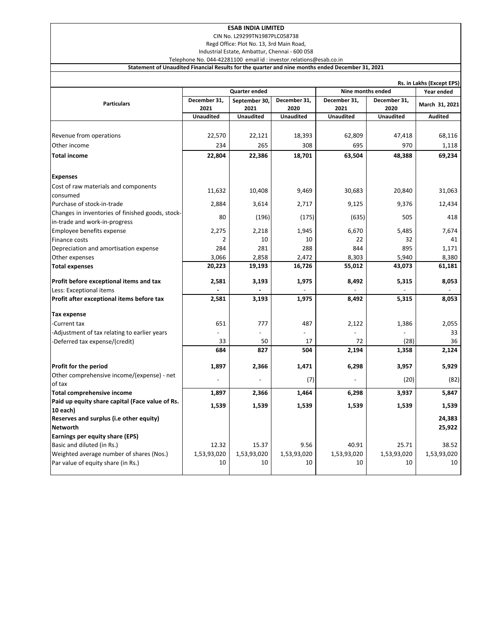# **ESAB INDIA LIMITED**

CIN No. L29299TN1987PLC058738

Regd Office: Plot No. 13, 3rd Main Road,

Industrial Estate, Ambattur, Chennai - 600 058

Telephone No. 044-42281100 email id : investor.relations@esab.co.in **Statement of Unaudited Financial Results for the quarter and nine months ended December 31, 2021**

|                                                      | Rs. in Lakhs (Except EPS) |                  |                  |                  |                  |                |  |  |  |  |
|------------------------------------------------------|---------------------------|------------------|------------------|------------------|------------------|----------------|--|--|--|--|
|                                                      | <b>Quarter ended</b>      |                  |                  |                  |                  | Year ended     |  |  |  |  |
| <b>Particulars</b>                                   | December 31,              | September 30,    | December 31,     | December 31,     | December 31,     | March 31, 2021 |  |  |  |  |
|                                                      | 2021                      | 2021             | 2020             | 2021             | 2020             |                |  |  |  |  |
|                                                      | <b>Unaudited</b>          | <b>Unaudited</b> | <b>Unaudited</b> | <b>Unaudited</b> | <b>Unaudited</b> | <b>Audited</b> |  |  |  |  |
|                                                      |                           |                  |                  |                  |                  |                |  |  |  |  |
| Revenue from operations                              | 22,570                    | 22,121           | 18,393           | 62,809           | 47,418           | 68,116         |  |  |  |  |
| Other income                                         | 234                       | 265              | 308              | 695              | 970              | 1,118          |  |  |  |  |
| <b>Total income</b>                                  | 22,804                    | 22,386           | 18,701           | 63,504           | 48,388           | 69,234         |  |  |  |  |
| <b>Expenses</b>                                      |                           |                  |                  |                  |                  |                |  |  |  |  |
| Cost of raw materials and components                 |                           |                  |                  |                  |                  |                |  |  |  |  |
| consumed                                             | 11,632                    | 10,408           | 9,469            | 30,683           | 20,840           | 31,063         |  |  |  |  |
| Purchase of stock-in-trade                           | 2,884                     | 3,614            | 2,717            | 9,125            | 9,376            | 12,434         |  |  |  |  |
| Changes in inventories of finished goods, stock-     | 80                        | (196)            | (175)            | (635)            | 505              | 418            |  |  |  |  |
| in-trade and work-in-progress                        |                           |                  |                  |                  |                  |                |  |  |  |  |
| Employee benefits expense                            | 2,275                     | 2,218            | 1,945            | 6,670            | 5,485            | 7,674          |  |  |  |  |
| Finance costs                                        | 2                         | 10               | 10               | 22               | 32               | 41             |  |  |  |  |
| Depreciation and amortisation expense                | 284                       | 281              | 288              | 844              | 895              | 1,171          |  |  |  |  |
| Other expenses                                       | 3,066                     | 2,858            | 2,472            | 8,303            | 5,940            | 8,380          |  |  |  |  |
| <b>Total expenses</b>                                | 20,223                    | 19,193           | 16,726           | 55,012           | 43,073           | 61,181         |  |  |  |  |
| Profit before exceptional items and tax              | 2,581                     | 3,193            | 1,975            | 8,492            | 5,315            | 8,053          |  |  |  |  |
| Less: Exceptional items                              |                           |                  |                  |                  |                  |                |  |  |  |  |
| Profit after exceptional items before tax            | 2,581                     | 3,193            | 1,975            | 8,492            | 5,315            | 8,053          |  |  |  |  |
| Tax expense                                          |                           |                  |                  |                  |                  |                |  |  |  |  |
| Current tax                                          | 651                       | 777              | 487              | 2,122            | 1,386            | 2,055          |  |  |  |  |
| -Adjustment of tax relating to earlier years         |                           |                  |                  |                  |                  | 33             |  |  |  |  |
| -Deferred tax expense/(credit)                       | 33                        | 50               | 17               | 72               | (28)             | 36             |  |  |  |  |
|                                                      | 684                       | 827              | 504              | 2,194            | 1,358            | 2,124          |  |  |  |  |
|                                                      |                           |                  |                  |                  |                  |                |  |  |  |  |
| Profit for the period                                | 1,897                     | 2,366            | 1,471            | 6,298            | 3,957            | 5,929          |  |  |  |  |
| Other comprehensive income/(expense) - net<br>of tax |                           |                  | (7)              |                  | (20)             | (82)           |  |  |  |  |
| <b>Total comprehensive income</b>                    | 1,897                     | 2,366            | 1,464            | 6,298            | 3,937            | 5,847          |  |  |  |  |
| Paid up equity share capital (Face value of Rs.      |                           |                  |                  |                  |                  |                |  |  |  |  |
| 10 each)                                             | 1,539                     | 1,539            | 1,539            | 1,539            | 1,539            | 1,539          |  |  |  |  |
| Reserves and surplus (i.e other equity)              |                           |                  |                  |                  |                  | 24,383         |  |  |  |  |
| <b>Networth</b>                                      |                           |                  |                  |                  |                  | 25,922         |  |  |  |  |
| Earnings per equity share (EPS)                      |                           |                  |                  |                  |                  |                |  |  |  |  |
| Basic and diluted (in Rs.)                           | 12.32                     | 15.37            | 9.56             | 40.91            | 25.71            | 38.52          |  |  |  |  |
| Weighted average number of shares (Nos.)             | 1,53,93,020               | 1,53,93,020      | 1,53,93,020      | 1,53,93,020      | 1,53,93,020      | 1,53,93,020    |  |  |  |  |
| Par value of equity share (in Rs.)                   | 10                        | 10               | 10               | 10               | 10               | 10             |  |  |  |  |
|                                                      |                           |                  |                  |                  |                  |                |  |  |  |  |